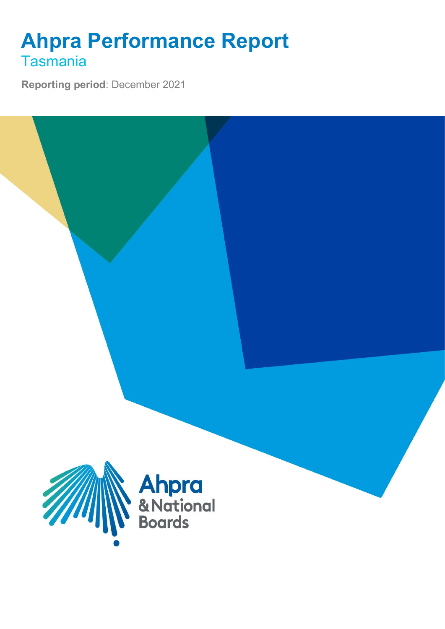## **Ahpra Performance Report** Tasmania

**Reporting period**: December 2021

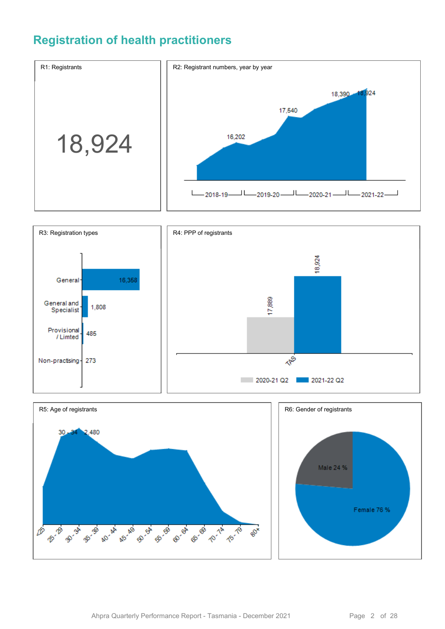### **Registration of health practitioners**





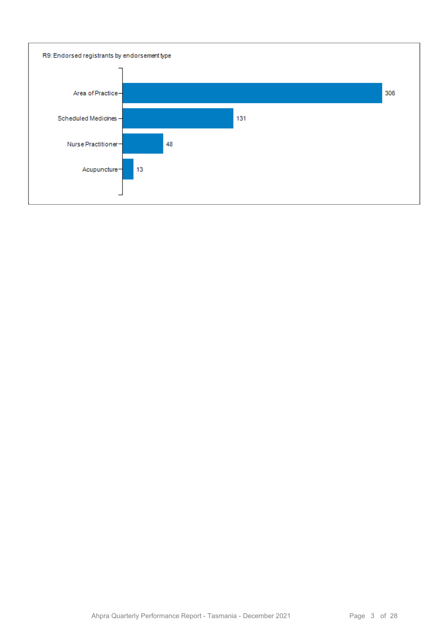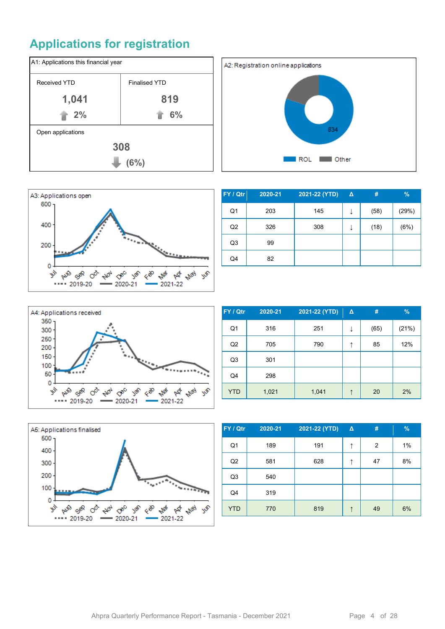## **Applications for registration**







| FY / Qtr       | 2020-21 | 2021-22 (YTD) | $\Delta$ | #    | $\frac{9}{6}$ |
|----------------|---------|---------------|----------|------|---------------|
| Q1             | 203     | 145           | ↓        | (58) | (29%)         |
| Q <sub>2</sub> | 326     | 308           | ↓        | (18) | (6%)          |
| Q <sub>3</sub> | 99      |               |          |      |               |
| Q4             | 82      |               |          |      |               |
|                |         |               |          |      |               |



| FY / Qtr       | 2020-21 | 2021-22 (YTD) | $\Delta$ | #    | $\%$  |
|----------------|---------|---------------|----------|------|-------|
| Q <sub>1</sub> | 316     | 251           | ↓        | (65) | (21%) |
| Q <sub>2</sub> | 705     | 790           | ↑        | 85   | 12%   |
| Q <sub>3</sub> | 301     |               |          |      |       |
| Q4             | 298     |               |          |      |       |
| <b>YTD</b>     | 1,021   | 1,041         | ↑        | 20   | 2%    |



| FY / Qtr       | 2020-21 | 2021-22 (YTD) | $\Delta$ | #  | %  |
|----------------|---------|---------------|----------|----|----|
| Q <sub>1</sub> | 189     | 191           | ↑        | 2  | 1% |
| Q2             | 581     | 628           | ↑        | 47 | 8% |
| Q <sub>3</sub> | 540     |               |          |    |    |
| Q <sub>4</sub> | 319     |               |          |    |    |
| <b>YTD</b>     | 770     | 819           | ↑        | 49 | 6% |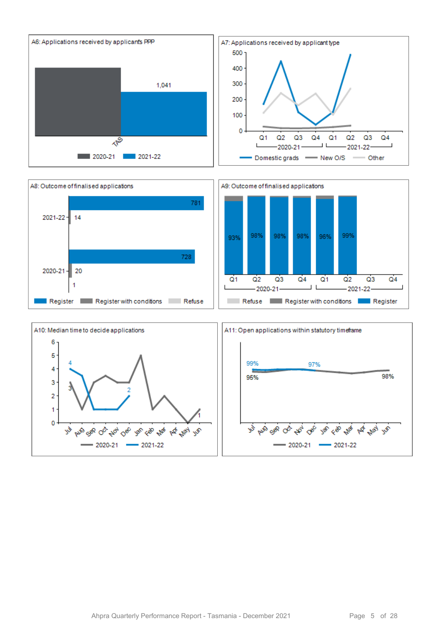



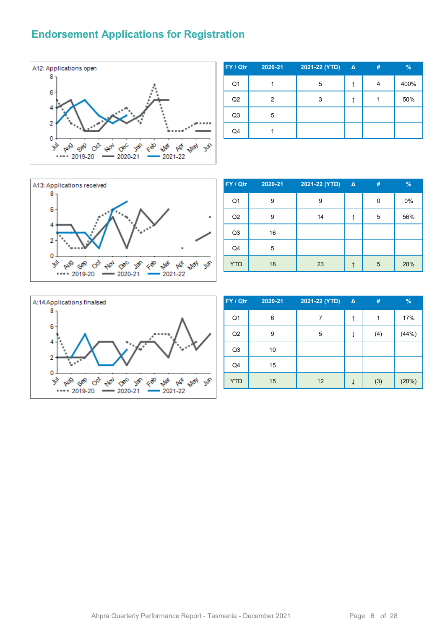#### **Endorsement Applications for Registration**



| FY / Qtr       | 2020-21 | 2021-22 (YTD) | $\Delta$ | # | %    |
|----------------|---------|---------------|----------|---|------|
| Q <sub>1</sub> |         | 5             | ۸        |   | 400% |
| Q2             | 2       | 3             |          |   | 50%  |
| Q <sub>3</sub> | 5       |               |          |   |      |
| Q4             |         |               |          |   |      |



| FY / Qtr       | 2020-21 | 2021-22 (YTD) | $\Delta$ | # | $\frac{9}{6}$ |
|----------------|---------|---------------|----------|---|---------------|
| Q1             | 9       | 9             |          | 0 | 0%            |
| Q2             | 9       | 14            | ↑        | 5 | 56%           |
| Q <sub>3</sub> | 16      |               |          |   |               |
| Q4             | 5       |               |          |   |               |
| <b>YTD</b>     | 18      | 23            |          | 5 | 28%           |



| FY / Qtr       | 2020-21 | 2021-22 (YTD) | $\Delta$ | #   | $\frac{9}{6}$ |
|----------------|---------|---------------|----------|-----|---------------|
| Q <sub>1</sub> | 6       | 7             | ↑        | 1   | 17%           |
| Q2             | 9       | 5             |          | (4) | (44%)         |
| Q <sub>3</sub> | 10      |               |          |     |               |
| Q4             | 15      |               |          |     |               |
| <b>YTD</b>     | 15      | 12            |          | (3) | (20%)         |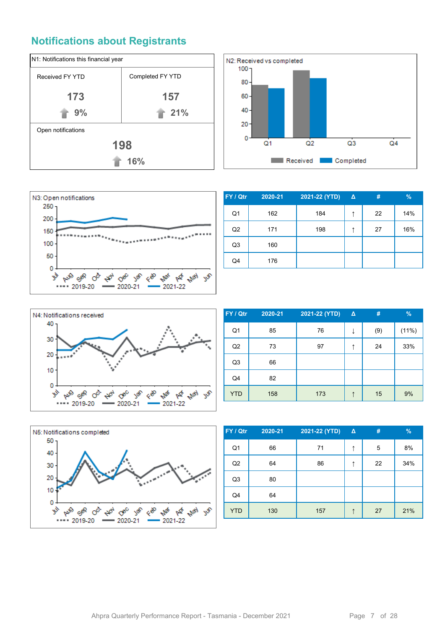#### **Notifications about Registrants**







| FY / Qtr       | 2020-21 | 2021-22 (YTD) | $\Delta$ | #  | $\%$ |
|----------------|---------|---------------|----------|----|------|
| Q1             | 162     | 184           | ↑        | 22 | 14%  |
| Q <sub>2</sub> | 171     | 198           | ↑        | 27 | 16%  |
| Q <sub>3</sub> | 160     |               |          |    |      |
| Q4             | 176     |               |          |    |      |



| FY / Qtr       | 2020-21 | 2021-22 (YTD) | $\Delta$ | #   | $\frac{9}{6}$ |
|----------------|---------|---------------|----------|-----|---------------|
| Q <sub>1</sub> | 85      | 76            |          | (9) | (11%)         |
| Q2             | 73      | 97            | ↑        | 24  | 33%           |
| Q <sub>3</sub> | 66      |               |          |     |               |
| Q4             | 82      |               |          |     |               |
| <b>YTD</b>     | 158     | 173           | ↑        | 15  | 9%            |



| FY / Qtr       | 2020-21 | 2021-22 (YTD) | $\Delta$ | #  | $\frac{9}{6}$ |
|----------------|---------|---------------|----------|----|---------------|
| Q <sub>1</sub> | 66      | 71            | ↑        | 5  | 8%            |
| Q2             | 64      | 86            | ↑        | 22 | 34%           |
| Q <sub>3</sub> | 80      |               |          |    |               |
| Q4             | 64      |               |          |    |               |
| <b>YTD</b>     | 130     | 157           | ↑        | 27 | 21%           |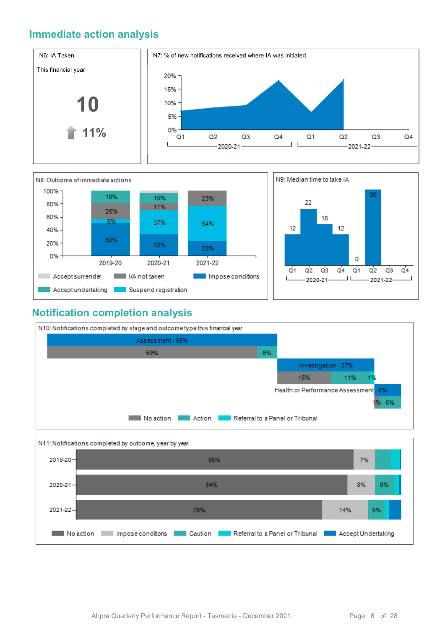#### **Immediate action analysis**





#### **Notification completion analysis**



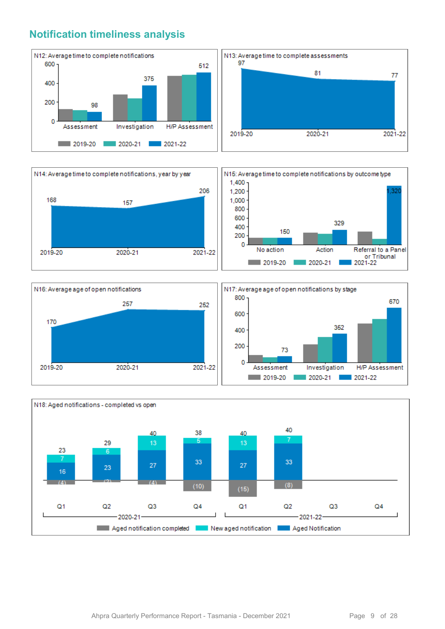#### **Notification timeliness analysis**









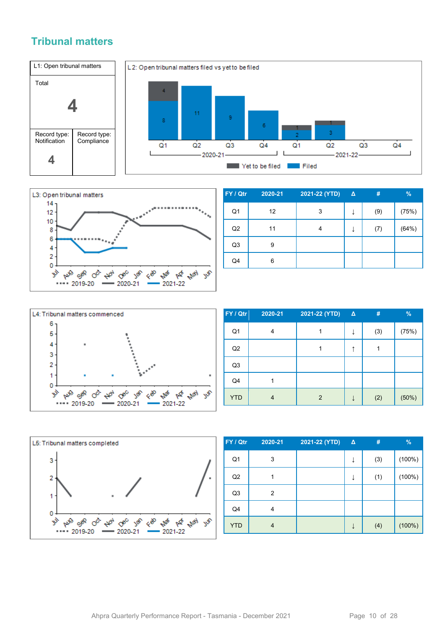#### **Tribunal matters**





| FY / Qtr       | 2020-21 | 2021-22 (YTD) | $\Delta$ | #   | $\%$  |
|----------------|---------|---------------|----------|-----|-------|
| Q1             | 12      | 3             |          | (9) | (75%) |
| Q <sub>2</sub> | 11      | 4             | ↓        | (7) | (64%) |
| Q3             | 9       |               |          |     |       |
| Q4             | 6       |               |          |     |       |



| FY / Qtr   | 2020-21 | 2021-22 (YTD)  | $\Delta$ | #   | %     |
|------------|---------|----------------|----------|-----|-------|
| Q1         | 4       |                |          | (3) | (75%) |
| Q2         |         |                |          |     |       |
| Q3         |         |                |          |     |       |
| Q4         |         |                |          |     |       |
| <b>YTD</b> | 4       | $\overline{2}$ |          | (2) | (50%) |



| FY / Qtr       | 2020-21 | 2021-22 (YTD) | Δ | #   | $\frac{9}{6}$ |
|----------------|---------|---------------|---|-----|---------------|
| Q <sub>1</sub> | 3       |               | ↓ | (3) | (100%)        |
| Q2             |         |               | ↓ | (1) | $(100\%)$     |
| Q <sub>3</sub> | 2       |               |   |     |               |
| Q4             | 4       |               |   |     |               |
| <b>YTD</b>     | 4       |               | ↓ | (4) | $(100\%)$     |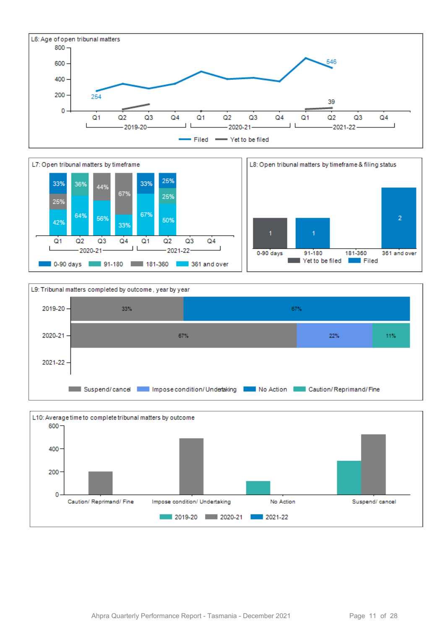







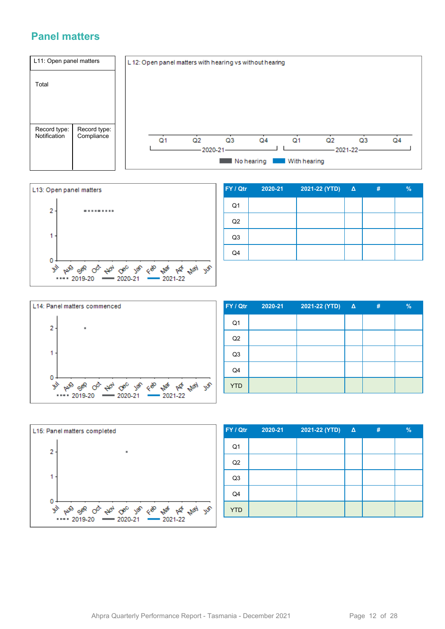#### **Panel matters**





| FY / Qtr       | 2020-21 | 2021-22 (YTD) | $\Delta$ | # | $\frac{9}{6}$ |
|----------------|---------|---------------|----------|---|---------------|
| Q <sub>1</sub> |         |               |          |   |               |
| Q2             |         |               |          |   |               |
| Q3             |         |               |          |   |               |
| Q4             |         |               |          |   |               |



| FY / Qtr       | $2020 - 21$ | 2021-22 (YTD) Δ | # | $\frac{9}{6}$ |
|----------------|-------------|-----------------|---|---------------|
| Q <sub>1</sub> |             |                 |   |               |
| Q2             |             |                 |   |               |
| Q <sub>3</sub> |             |                 |   |               |
| Q4             |             |                 |   |               |
| <b>YTD</b>     |             |                 |   |               |



| FY / Qtr       | 2020-21 | 2021-22 (YTD) Δ | # | $\%$ |
|----------------|---------|-----------------|---|------|
| Q <sub>1</sub> |         |                 |   |      |
| Q2             |         |                 |   |      |
| Q <sub>3</sub> |         |                 |   |      |
| Q4             |         |                 |   |      |
| <b>YTD</b>     |         |                 |   |      |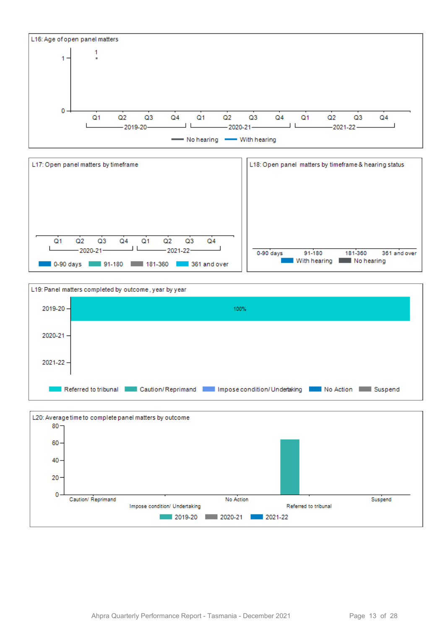





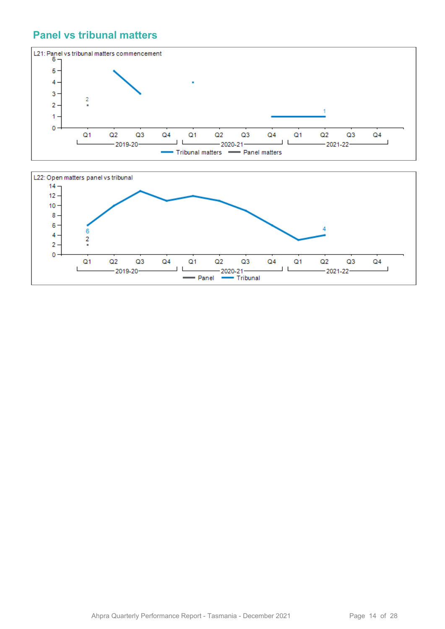#### **Panel vs tribunal matters**



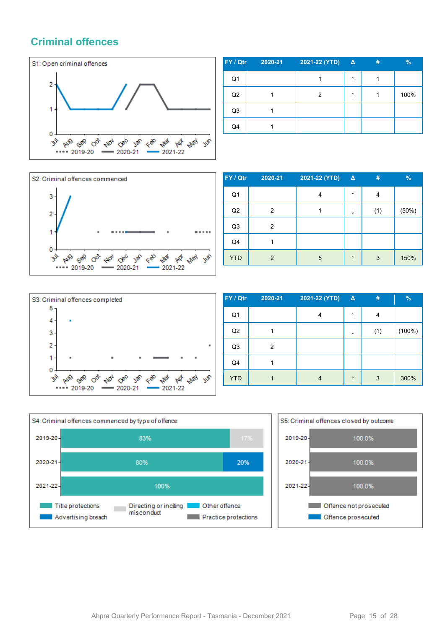#### **Criminal offences**



| FY / Qtr       | 2020-21 | 2021-22 (YTD) | $\Delta$ | # | $\%$ |
|----------------|---------|---------------|----------|---|------|
| Q <sub>1</sub> |         |               |          |   |      |
| Q2             |         | 2             |          |   | 100% |
| Q <sub>3</sub> |         |               |          |   |      |
| Q4             |         |               |          |   |      |



| FY / Qtr   | 2020-21 | 2021-22 (YTD) | $\Delta$ | #   | %     |
|------------|---------|---------------|----------|-----|-------|
| Q1         |         | 4             | ↑        | 4   |       |
| Q2         | 2       |               |          | (1) | (50%) |
| Q3         | 2       |               |          |     |       |
| Q4         |         |               |          |     |       |
| <b>YTD</b> | 2       | 5             |          | 3   | 150%  |



| FY / Qtr       | 2020-21 | 2021-22 (YTD) | $\Delta$ | #   | %         |
|----------------|---------|---------------|----------|-----|-----------|
| Q <sub>1</sub> |         | 4             | ↑        | 4   |           |
| Q2             |         |               |          | (1) | $(100\%)$ |
| Q <sub>3</sub> | 2       |               |          |     |           |
| Q4             |         |               |          |     |           |
| <b>YTD</b>     |         | 4             |          | 3   | 300%      |



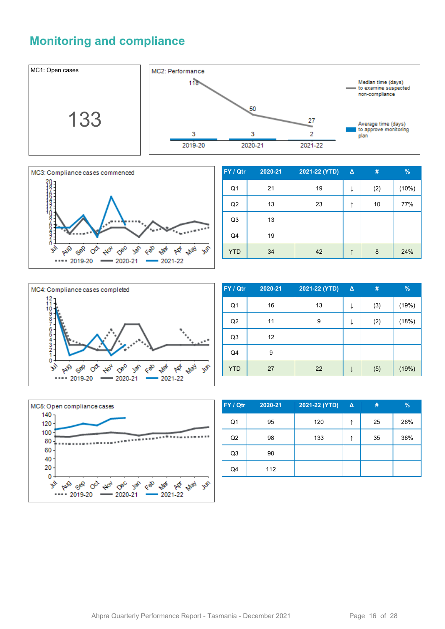#### **Monitoring and compliance**





| FY / Qtr       | 2020-21 | 2021-22 (YTD) | $\Delta$ | #   | $\%$  |
|----------------|---------|---------------|----------|-----|-------|
| Q <sub>1</sub> | 21      | 19            | ↓        | (2) | (10%) |
| Q2             | 13      | 23            | ↑        | 10  | 77%   |
| Q <sub>3</sub> | 13      |               |          |     |       |
| Q4             | 19      |               |          |     |       |
| <b>YTD</b>     | 34      | 42            | ᠰ        | 8   | 24%   |



| FY / Qtr       | 2020-21           | 2021-22 (YTD) | $\Delta$ | #   | $\%$  |
|----------------|-------------------|---------------|----------|-----|-------|
| Q <sub>1</sub> | 16                | 13            | ↓        | (3) | (19%) |
| Q2             | 11                | 9             | ↓        | (2) | (18%) |
| Q <sub>3</sub> | $12 \overline{ }$ |               |          |     |       |
| Q4             | 9                 |               |          |     |       |
| <b>YTD</b>     | 27                | 22            | ↓        | (5) | (19%) |



| FY / Qtr       | 2020-21 | 2021-22 (YTD) | <b>Δ</b> | #  | $\%$ |
|----------------|---------|---------------|----------|----|------|
| Q <sub>1</sub> | 95      | 120           | ᠰ        | 25 | 26%  |
| Q2             | 98      | 133           | ᠰ        | 35 | 36%  |
| Q <sub>3</sub> | 98      |               |          |    |      |
| Q4             | 112     |               |          |    |      |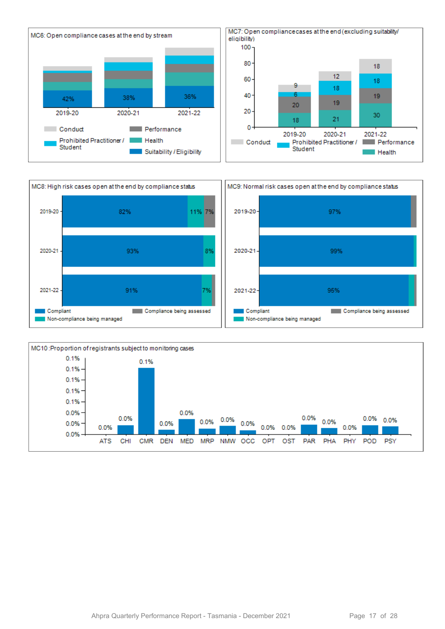



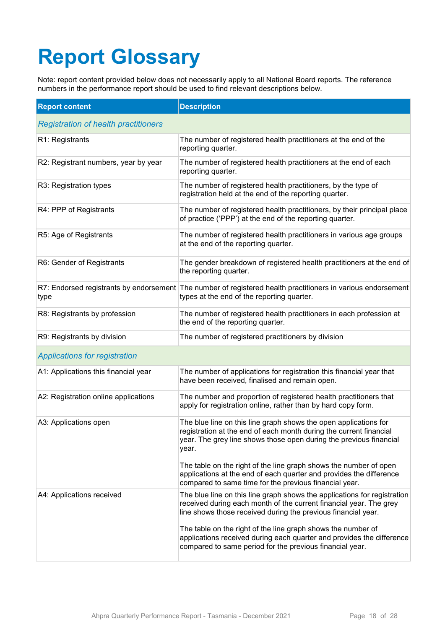# **Report Glossary**

Note: report content provided below does not necessarily apply to all National Board reports. The reference numbers in the performance report should be used to find relevant descriptions below.

| <b>Report content</b>                       | <b>Description</b>                                                                                                                                                                                                    |
|---------------------------------------------|-----------------------------------------------------------------------------------------------------------------------------------------------------------------------------------------------------------------------|
| <b>Registration of health practitioners</b> |                                                                                                                                                                                                                       |
| R1: Registrants                             | The number of registered health practitioners at the end of the<br>reporting quarter.                                                                                                                                 |
| R2: Registrant numbers, year by year        | The number of registered health practitioners at the end of each<br>reporting quarter.                                                                                                                                |
| R3: Registration types                      | The number of registered health practitioners, by the type of<br>registration held at the end of the reporting quarter.                                                                                               |
| R4: PPP of Registrants                      | The number of registered health practitioners, by their principal place<br>of practice ('PPP') at the end of the reporting quarter.                                                                                   |
| R5: Age of Registrants                      | The number of registered health practitioners in various age groups<br>at the end of the reporting quarter.                                                                                                           |
| R6: Gender of Registrants                   | The gender breakdown of registered health practitioners at the end of<br>the reporting quarter.                                                                                                                       |
| type                                        | R7: Endorsed registrants by endorsement The number of registered health practitioners in various endorsement<br>types at the end of the reporting quarter.                                                            |
| R8: Registrants by profession               | The number of registered health practitioners in each profession at<br>the end of the reporting quarter.                                                                                                              |
| R9: Registrants by division                 | The number of registered practitioners by division                                                                                                                                                                    |
| <b>Applications for registration</b>        |                                                                                                                                                                                                                       |
| A1: Applications this financial year        | The number of applications for registration this financial year that<br>have been received, finalised and remain open.                                                                                                |
| A2: Registration online applications        | The number and proportion of registered health practitioners that<br>apply for registration online, rather than by hard copy form.                                                                                    |
| A3: Applications open                       | The blue line on this line graph shows the open applications for<br>registration at the end of each month during the current financial<br>year. The grey line shows those open during the previous financial<br>year. |
|                                             | The table on the right of the line graph shows the number of open<br>applications at the end of each quarter and provides the difference<br>compared to same time for the previous financial year.                    |
| A4: Applications received                   | The blue line on this line graph shows the applications for registration<br>received during each month of the current financial year. The grey<br>line shows those received during the previous financial year.       |
|                                             | The table on the right of the line graph shows the number of<br>applications received during each quarter and provides the difference<br>compared to same period for the previous financial year.                     |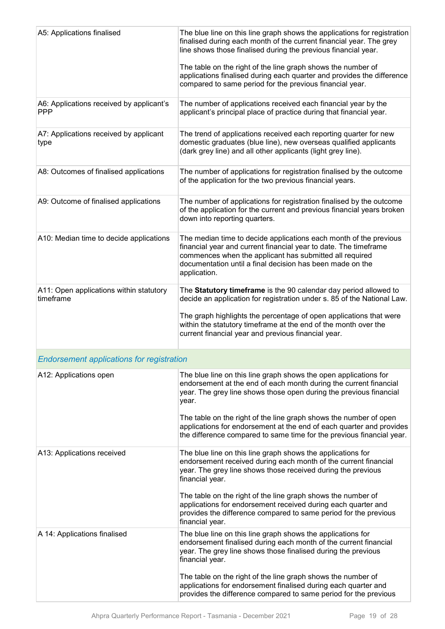| A5: Applications finalised                             | The blue line on this line graph shows the applications for registration<br>finalised during each month of the current financial year. The grey<br>line shows those finalised during the previous financial year.<br>The table on the right of the line graph shows the number of                                                           |
|--------------------------------------------------------|---------------------------------------------------------------------------------------------------------------------------------------------------------------------------------------------------------------------------------------------------------------------------------------------------------------------------------------------|
|                                                        | applications finalised during each quarter and provides the difference<br>compared to same period for the previous financial year.                                                                                                                                                                                                          |
| A6: Applications received by applicant's<br><b>PPP</b> | The number of applications received each financial year by the<br>applicant's principal place of practice during that financial year.                                                                                                                                                                                                       |
| A7: Applications received by applicant<br>type         | The trend of applications received each reporting quarter for new<br>domestic graduates (blue line), new overseas qualified applicants<br>(dark grey line) and all other applicants (light grey line).                                                                                                                                      |
| A8: Outcomes of finalised applications                 | The number of applications for registration finalised by the outcome<br>of the application for the two previous financial years.                                                                                                                                                                                                            |
| A9: Outcome of finalised applications                  | The number of applications for registration finalised by the outcome<br>of the application for the current and previous financial years broken<br>down into reporting quarters.                                                                                                                                                             |
| A10: Median time to decide applications                | The median time to decide applications each month of the previous<br>financial year and current financial year to date. The timeframe<br>commences when the applicant has submitted all required<br>documentation until a final decision has been made on the<br>application.                                                               |
| A11: Open applications within statutory<br>timeframe   | The Statutory timeframe is the 90 calendar day period allowed to<br>decide an application for registration under s. 85 of the National Law.<br>The graph highlights the percentage of open applications that were<br>within the statutory timeframe at the end of the month over the<br>current financial year and previous financial year. |
| <b>Endorsement applications for registration</b>       |                                                                                                                                                                                                                                                                                                                                             |
| A12: Applications open                                 | The blue line on this line graph shows the open applications for<br>endorsement at the end of each month during the current financial<br>year. The grey line shows those open during the previous financial<br>year.                                                                                                                        |
|                                                        | The table on the right of the line graph shows the number of open<br>applications for endorsement at the end of each quarter and provides<br>the difference compared to same time for the previous financial year.                                                                                                                          |
| A13: Applications received                             | The blue line on this line graph shows the applications for<br>endorsement received during each month of the current financial<br>year. The grey line shows those received during the previous<br>financial year.                                                                                                                           |
|                                                        | The table on the right of the line graph shows the number of<br>applications for endorsement received during each quarter and<br>provides the difference compared to same period for the previous<br>financial year.                                                                                                                        |
| A 14: Applications finalised                           | The blue line on this line graph shows the applications for<br>endorsement finalised during each month of the current financial<br>year. The grey line shows those finalised during the previous<br>financial year.                                                                                                                         |
|                                                        | The table on the right of the line graph shows the number of<br>applications for endorsement finalised during each quarter and<br>provides the difference compared to same period for the previous                                                                                                                                          |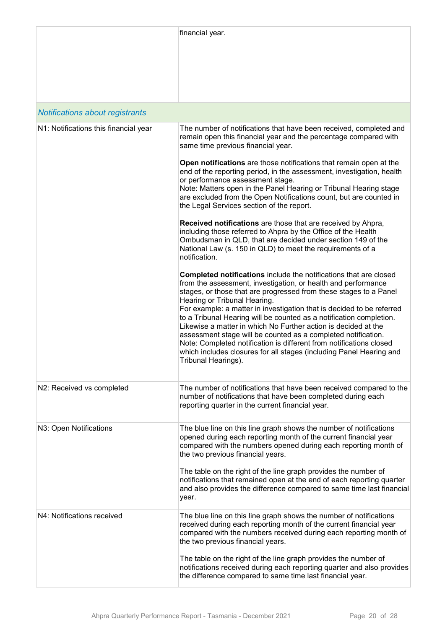|                                       | financial year.                                                                                                                                                                                                                                                                                                                                                                                                                                                                                                                                                                                                                                                                                 |
|---------------------------------------|-------------------------------------------------------------------------------------------------------------------------------------------------------------------------------------------------------------------------------------------------------------------------------------------------------------------------------------------------------------------------------------------------------------------------------------------------------------------------------------------------------------------------------------------------------------------------------------------------------------------------------------------------------------------------------------------------|
| Notifications about registrants       |                                                                                                                                                                                                                                                                                                                                                                                                                                                                                                                                                                                                                                                                                                 |
| N1: Notifications this financial year | The number of notifications that have been received, completed and<br>remain open this financial year and the percentage compared with<br>same time previous financial year.                                                                                                                                                                                                                                                                                                                                                                                                                                                                                                                    |
|                                       | Open notifications are those notifications that remain open at the<br>end of the reporting period, in the assessment, investigation, health<br>or performance assessment stage.<br>Note: Matters open in the Panel Hearing or Tribunal Hearing stage<br>are excluded from the Open Notifications count, but are counted in<br>the Legal Services section of the report.                                                                                                                                                                                                                                                                                                                         |
|                                       | Received notifications are those that are received by Ahpra,<br>including those referred to Ahpra by the Office of the Health<br>Ombudsman in QLD, that are decided under section 149 of the<br>National Law (s. 150 in QLD) to meet the requirements of a<br>notification.                                                                                                                                                                                                                                                                                                                                                                                                                     |
|                                       | Completed notifications include the notifications that are closed<br>from the assessment, investigation, or health and performance<br>stages, or those that are progressed from these stages to a Panel<br>Hearing or Tribunal Hearing.<br>For example: a matter in investigation that is decided to be referred<br>to a Tribunal Hearing will be counted as a notification completion.<br>Likewise a matter in which No Further action is decided at the<br>assessment stage will be counted as a completed notification.<br>Note: Completed notification is different from notifications closed<br>which includes closures for all stages (including Panel Hearing and<br>Tribunal Hearings). |
| N2: Received vs completed             | The number of notifications that have been received compared to the<br>number of notifications that have been completed during each<br>reporting quarter in the current financial year.                                                                                                                                                                                                                                                                                                                                                                                                                                                                                                         |
| N3: Open Notifications                | The blue line on this line graph shows the number of notifications<br>opened during each reporting month of the current financial year<br>compared with the numbers opened during each reporting month of<br>the two previous financial years.<br>The table on the right of the line graph provides the number of<br>notifications that remained open at the end of each reporting quarter<br>and also provides the difference compared to same time last financial<br>year.                                                                                                                                                                                                                    |
| N4: Notifications received            | The blue line on this line graph shows the number of notifications<br>received during each reporting month of the current financial year<br>compared with the numbers received during each reporting month of<br>the two previous financial years.<br>The table on the right of the line graph provides the number of                                                                                                                                                                                                                                                                                                                                                                           |
|                                       | notifications received during each reporting quarter and also provides<br>the difference compared to same time last financial year.                                                                                                                                                                                                                                                                                                                                                                                                                                                                                                                                                             |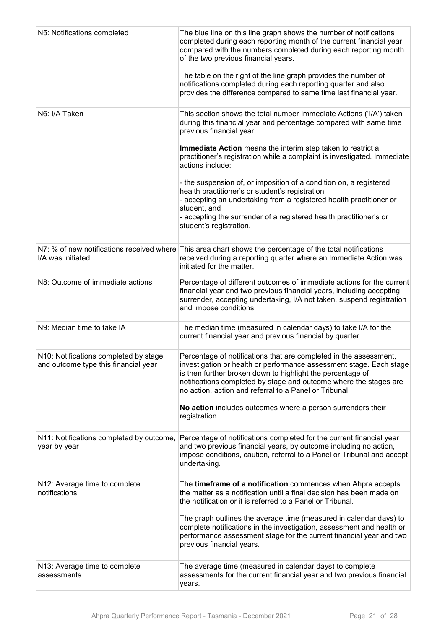| N5: Notifications completed                                                   | The blue line on this line graph shows the number of notifications<br>completed during each reporting month of the current financial year<br>compared with the numbers completed during each reporting month<br>of the two previous financial years.<br>The table on the right of the line graph provides the number of<br>notifications completed during each reporting quarter and also<br>provides the difference compared to same time last financial year. |
|-------------------------------------------------------------------------------|-----------------------------------------------------------------------------------------------------------------------------------------------------------------------------------------------------------------------------------------------------------------------------------------------------------------------------------------------------------------------------------------------------------------------------------------------------------------|
| N6: I/A Taken                                                                 | This section shows the total number Immediate Actions ('I/A') taken<br>during this financial year and percentage compared with same time<br>previous financial year.                                                                                                                                                                                                                                                                                            |
|                                                                               | Immediate Action means the interim step taken to restrict a<br>practitioner's registration while a complaint is investigated. Immediate<br>actions include:                                                                                                                                                                                                                                                                                                     |
|                                                                               | - the suspension of, or imposition of a condition on, a registered<br>health practitioner's or student's registration<br>- accepting an undertaking from a registered health practitioner or<br>student, and<br>- accepting the surrender of a registered health practitioner's or<br>student's registration.                                                                                                                                                   |
| I/A was initiated                                                             | N7: % of new notifications received where This area chart shows the percentage of the total notifications<br>received during a reporting quarter where an Immediate Action was<br>initiated for the matter.                                                                                                                                                                                                                                                     |
| N8: Outcome of immediate actions                                              | Percentage of different outcomes of immediate actions for the current<br>financial year and two previous financial years, including accepting<br>surrender, accepting undertaking, I/A not taken, suspend registration<br>and impose conditions.                                                                                                                                                                                                                |
| N9: Median time to take IA                                                    | The median time (measured in calendar days) to take I/A for the<br>current financial year and previous financial by quarter                                                                                                                                                                                                                                                                                                                                     |
| N10: Notifications completed by stage<br>and outcome type this financial year | Percentage of notifications that are completed in the assessment,<br>investigation or health or performance assessment stage. Each stage<br>is then further broken down to highlight the percentage of<br>notifications completed by stage and outcome where the stages are<br>no action, action and referral to a Panel or Tribunal.                                                                                                                           |
|                                                                               | No action includes outcomes where a person surrenders their<br>registration.                                                                                                                                                                                                                                                                                                                                                                                    |
| N11: Notifications completed by outcome,<br>year by year                      | Percentage of notifications completed for the current financial year<br>and two previous financial years, by outcome including no action,<br>impose conditions, caution, referral to a Panel or Tribunal and accept<br>undertaking.                                                                                                                                                                                                                             |
| N12: Average time to complete<br>notifications                                | The timeframe of a notification commences when Ahpra accepts<br>the matter as a notification until a final decision has been made on<br>the notification or it is referred to a Panel or Tribunal.                                                                                                                                                                                                                                                              |
|                                                                               | The graph outlines the average time (measured in calendar days) to<br>complete notifications in the investigation, assessment and health or<br>performance assessment stage for the current financial year and two<br>previous financial years.                                                                                                                                                                                                                 |
| N13: Average time to complete<br>assessments                                  | The average time (measured in calendar days) to complete<br>assessments for the current financial year and two previous financial<br>years.                                                                                                                                                                                                                                                                                                                     |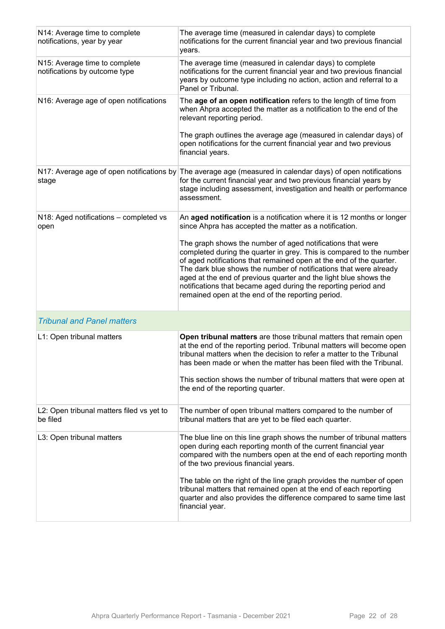| N14: Average time to complete<br>notifications, year by year   | The average time (measured in calendar days) to complete<br>notifications for the current financial year and two previous financial<br>years.                                                                                                                                                                                                                                                                                                                             |
|----------------------------------------------------------------|---------------------------------------------------------------------------------------------------------------------------------------------------------------------------------------------------------------------------------------------------------------------------------------------------------------------------------------------------------------------------------------------------------------------------------------------------------------------------|
| N15: Average time to complete<br>notifications by outcome type | The average time (measured in calendar days) to complete<br>notifications for the current financial year and two previous financial<br>years by outcome type including no action, action and referral to a<br>Panel or Tribunal.                                                                                                                                                                                                                                          |
| N16: Average age of open notifications                         | The age of an open notification refers to the length of time from<br>when Ahpra accepted the matter as a notification to the end of the<br>relevant reporting period.                                                                                                                                                                                                                                                                                                     |
|                                                                | The graph outlines the average age (measured in calendar days) of<br>open notifications for the current financial year and two previous<br>financial years.                                                                                                                                                                                                                                                                                                               |
| stage                                                          | N17: Average age of open notifications by The average age (measured in calendar days) of open notifications<br>for the current financial year and two previous financial years by<br>stage including assessment, investigation and health or performance<br>assessment.                                                                                                                                                                                                   |
| N18: Aged notifications - completed vs<br>open                 | An aged notification is a notification where it is 12 months or longer<br>since Ahpra has accepted the matter as a notification.                                                                                                                                                                                                                                                                                                                                          |
|                                                                | The graph shows the number of aged notifications that were<br>completed during the quarter in grey. This is compared to the number<br>of aged notifications that remained open at the end of the quarter.<br>The dark blue shows the number of notifications that were already<br>aged at the end of previous quarter and the light blue shows the<br>notifications that became aged during the reporting period and<br>remained open at the end of the reporting period. |
| <b>Tribunal and Panel matters</b>                              |                                                                                                                                                                                                                                                                                                                                                                                                                                                                           |
| L1: Open tribunal matters                                      | Open tribunal matters are those tribunal matters that remain open<br>at the end of the reporting period. Tribunal matters will become open<br>tribunal matters when the decision to refer a matter to the Tribunal<br>has been made or when the matter has been filed with the Tribunal.<br>This section shows the number of tribunal matters that were open at<br>the end of the reporting quarter.                                                                      |
| L2: Open tribunal matters filed vs yet to<br>be filed          | The number of open tribunal matters compared to the number of<br>tribunal matters that are yet to be filed each quarter.                                                                                                                                                                                                                                                                                                                                                  |
| L3: Open tribunal matters                                      | The blue line on this line graph shows the number of tribunal matters<br>open during each reporting month of the current financial year<br>compared with the numbers open at the end of each reporting month<br>of the two previous financial years.                                                                                                                                                                                                                      |
|                                                                | The table on the right of the line graph provides the number of open<br>tribunal matters that remained open at the end of each reporting<br>quarter and also provides the difference compared to same time last<br>financial year.                                                                                                                                                                                                                                        |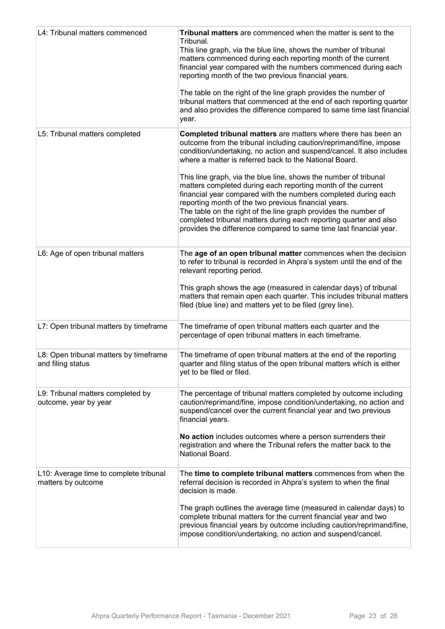| L4: Tribunal matters commenced                               | Tribunal matters are commenced when the matter is sent to the<br>Tribunal.<br>This line graph, via the blue line, shows the number of tribunal<br>matters commenced during each reporting month of the current<br>financial year compared with the numbers commenced during each<br>reporting month of the two previous financial years.<br>The table on the right of the line graph provides the number of<br>tribunal matters that commenced at the end of each reporting quarter<br>and also provides the difference compared to same time last financial<br>year.                                                                                                                                                                                      |
|--------------------------------------------------------------|------------------------------------------------------------------------------------------------------------------------------------------------------------------------------------------------------------------------------------------------------------------------------------------------------------------------------------------------------------------------------------------------------------------------------------------------------------------------------------------------------------------------------------------------------------------------------------------------------------------------------------------------------------------------------------------------------------------------------------------------------------|
| L5: Tribunal matters completed                               | <b>Completed tribunal matters</b> are matters where there has been an<br>outcome from the tribunal including caution/reprimand/fine, impose<br>condition/undertaking, no action and suspend/cancel. It also includes<br>where a matter is referred back to the National Board.<br>This line graph, via the blue line, shows the number of tribunal<br>matters completed during each reporting month of the current<br>financial year compared with the numbers completed during each<br>reporting month of the two previous financial years.<br>The table on the right of the line graph provides the number of<br>completed tribunal matters during each reporting quarter and also<br>provides the difference compared to same time last financial year. |
| L6: Age of open tribunal matters                             | The age of an open tribunal matter commences when the decision<br>to refer to tribunal is recorded in Ahpra's system until the end of the<br>relevant reporting period.<br>This graph shows the age (measured in calendar days) of tribunal<br>matters that remain open each quarter. This includes tribunal matters<br>filed (blue line) and matters yet to be filed (grey line).                                                                                                                                                                                                                                                                                                                                                                         |
| L7: Open tribunal matters by timeframe                       | The timeframe of open tribunal matters each quarter and the<br>percentage of open tribunal matters in each timeframe.                                                                                                                                                                                                                                                                                                                                                                                                                                                                                                                                                                                                                                      |
| L8: Open tribunal matters by timeframe<br>and filing status  | The timeframe of open tribunal matters at the end of the reporting<br>quarter and filing status of the open tribunal matters which is either<br>yet to be filed or filed.                                                                                                                                                                                                                                                                                                                                                                                                                                                                                                                                                                                  |
| L9: Tribunal matters completed by<br>outcome, year by year   | The percentage of tribunal matters completed by outcome including<br>caution/reprimand/fine, impose condition/undertaking, no action and<br>suspend/cancel over the current financial year and two previous<br>financial years.<br>No action includes outcomes where a person surrenders their<br>registration and where the Tribunal refers the matter back to the<br>National Board.                                                                                                                                                                                                                                                                                                                                                                     |
| L10: Average time to complete tribunal<br>matters by outcome | The time to complete tribunal matters commences from when the<br>referral decision is recorded in Ahpra's system to when the final<br>decision is made.<br>The graph outlines the average time (measured in calendar days) to<br>complete tribunal matters for the current financial year and two<br>previous financial years by outcome including caution/reprimand/fine,<br>impose condition/undertaking, no action and suspend/cancel.                                                                                                                                                                                                                                                                                                                  |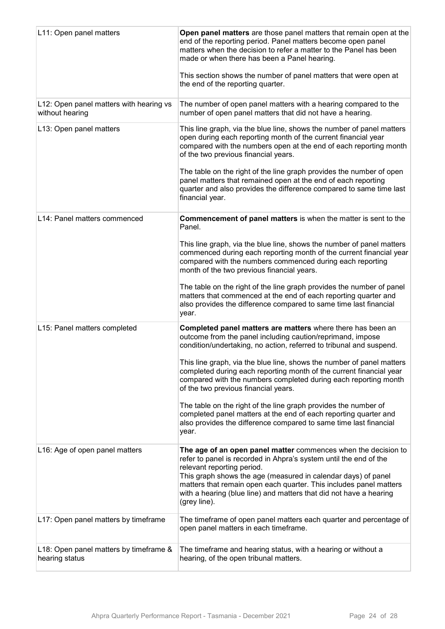| L11: Open panel matters                                    | Open panel matters are those panel matters that remain open at the<br>end of the reporting period. Panel matters become open panel<br>matters when the decision to refer a matter to the Panel has been<br>made or when there has been a Panel hearing.<br>This section shows the number of panel matters that were open at<br>the end of the reporting quarter.                               |
|------------------------------------------------------------|------------------------------------------------------------------------------------------------------------------------------------------------------------------------------------------------------------------------------------------------------------------------------------------------------------------------------------------------------------------------------------------------|
| L12: Open panel matters with hearing vs<br>without hearing | The number of open panel matters with a hearing compared to the<br>number of open panel matters that did not have a hearing.                                                                                                                                                                                                                                                                   |
| L13: Open panel matters                                    | This line graph, via the blue line, shows the number of panel matters<br>open during each reporting month of the current financial year<br>compared with the numbers open at the end of each reporting month<br>of the two previous financial years.                                                                                                                                           |
|                                                            | The table on the right of the line graph provides the number of open<br>panel matters that remained open at the end of each reporting<br>quarter and also provides the difference compared to same time last<br>financial year.                                                                                                                                                                |
| L14: Panel matters commenced                               | <b>Commencement of panel matters is when the matter is sent to the</b><br>Panel.                                                                                                                                                                                                                                                                                                               |
|                                                            | This line graph, via the blue line, shows the number of panel matters<br>commenced during each reporting month of the current financial year<br>compared with the numbers commenced during each reporting<br>month of the two previous financial years.                                                                                                                                        |
|                                                            | The table on the right of the line graph provides the number of panel<br>matters that commenced at the end of each reporting quarter and<br>also provides the difference compared to same time last financial<br>year.                                                                                                                                                                         |
| L15: Panel matters completed                               | Completed panel matters are matters where there has been an<br>outcome from the panel including caution/reprimand, impose<br>condition/undertaking, no action, referred to tribunal and suspend.                                                                                                                                                                                               |
|                                                            | This line graph, via the blue line, shows the number of panel matters<br>completed during each reporting month of the current financial year<br>compared with the numbers completed during each reporting month<br>of the two previous financial years.                                                                                                                                        |
|                                                            | The table on the right of the line graph provides the number of<br>completed panel matters at the end of each reporting quarter and<br>also provides the difference compared to same time last financial<br>year.                                                                                                                                                                              |
| L16: Age of open panel matters                             | The age of an open panel matter commences when the decision to<br>refer to panel is recorded in Ahpra's system until the end of the<br>relevant reporting period.<br>This graph shows the age (measured in calendar days) of panel<br>matters that remain open each quarter. This includes panel matters<br>with a hearing (blue line) and matters that did not have a hearing<br>(grey line). |
| L17: Open panel matters by timeframe                       | The timeframe of open panel matters each quarter and percentage of<br>open panel matters in each timeframe.                                                                                                                                                                                                                                                                                    |
| L18: Open panel matters by timeframe &<br>hearing status   | The timeframe and hearing status, with a hearing or without a<br>hearing, of the open tribunal matters.                                                                                                                                                                                                                                                                                        |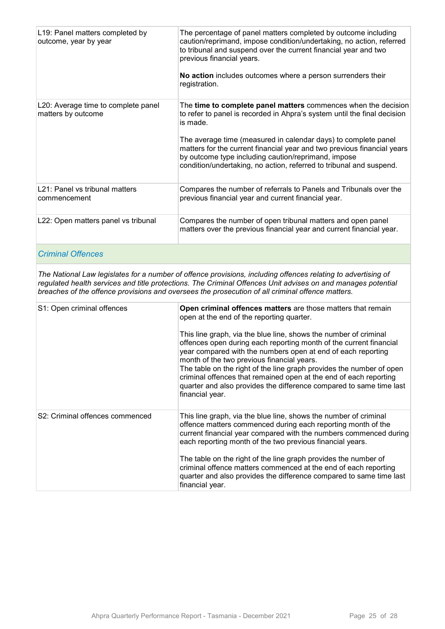| L19: Panel matters completed by<br>outcome, year by year  | The percentage of panel matters completed by outcome including<br>caution/reprimand, impose condition/undertaking, no action, referred<br>to tribunal and suspend over the current financial year and two<br>previous financial years.<br>No action includes outcomes where a person surrenders their<br>registration.                                                                                                            |
|-----------------------------------------------------------|-----------------------------------------------------------------------------------------------------------------------------------------------------------------------------------------------------------------------------------------------------------------------------------------------------------------------------------------------------------------------------------------------------------------------------------|
| L20: Average time to complete panel<br>matters by outcome | The time to complete panel matters commences when the decision<br>to refer to panel is recorded in Ahpra's system until the final decision<br>is made.<br>The average time (measured in calendar days) to complete panel<br>matters for the current financial year and two previous financial years<br>by outcome type including caution/reprimand, impose<br>condition/undertaking, no action, referred to tribunal and suspend. |
| L21: Panel vs tribunal matters<br>commencement            | Compares the number of referrals to Panels and Tribunals over the<br>previous financial year and current financial year.                                                                                                                                                                                                                                                                                                          |
| L22: Open matters panel vs tribunal                       | Compares the number of open tribunal matters and open panel<br>matters over the previous financial year and current financial year.                                                                                                                                                                                                                                                                                               |

#### *Criminal Offences*

*The National Law legislates for a number of offence provisions, including offences relating to advertising of regulated health services and title protections. The Criminal Offences Unit advises on and manages potential breaches of the offence provisions and oversees the prosecution of all criminal offence matters.*

| S1: Open criminal offences      | Open criminal offences matters are those matters that remain<br>open at the end of the reporting quarter.<br>This line graph, via the blue line, shows the number of criminal<br>offences open during each reporting month of the current financial<br>year compared with the numbers open at end of each reporting<br>month of the two previous financial years.<br>The table on the right of the line graph provides the number of open<br>criminal offences that remained open at the end of each reporting<br>quarter and also provides the difference compared to same time last<br>financial year. |
|---------------------------------|----------------------------------------------------------------------------------------------------------------------------------------------------------------------------------------------------------------------------------------------------------------------------------------------------------------------------------------------------------------------------------------------------------------------------------------------------------------------------------------------------------------------------------------------------------------------------------------------------------|
| S2: Criminal offences commenced | This line graph, via the blue line, shows the number of criminal<br>offence matters commenced during each reporting month of the<br>current financial year compared with the numbers commenced during<br>each reporting month of the two previous financial years.<br>The table on the right of the line graph provides the number of<br>criminal offence matters commenced at the end of each reporting<br>quarter and also provides the difference compared to same time last                                                                                                                          |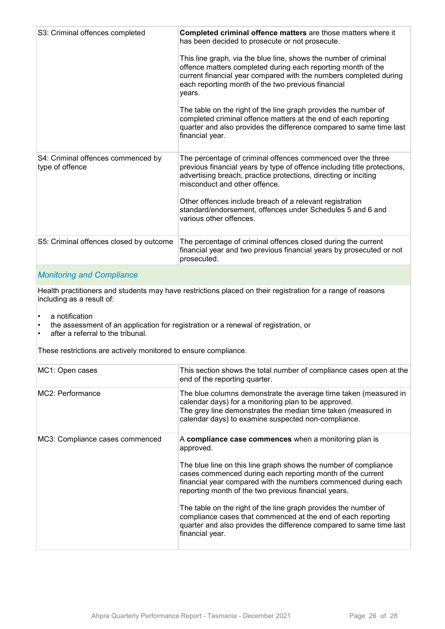| S3: Criminal offences completed                       | Completed criminal offence matters are those matters where it<br>has been decided to prosecute or not prosecute.<br>This line graph, via the blue line, shows the number of criminal<br>offence matters completed during each reporting month of the<br>current financial year compared with the numbers completed during<br>each reporting month of the two previous financial<br>years.<br>The table on the right of the line graph provides the number of<br>completed criminal offence matters at the end of each reporting<br>quarter and also provides the difference compared to same time last<br>financial year. |
|-------------------------------------------------------|---------------------------------------------------------------------------------------------------------------------------------------------------------------------------------------------------------------------------------------------------------------------------------------------------------------------------------------------------------------------------------------------------------------------------------------------------------------------------------------------------------------------------------------------------------------------------------------------------------------------------|
| S4: Criminal offences commenced by<br>type of offence | The percentage of criminal offences commenced over the three<br>previous financial years by type of offence including title protections,<br>advertising breach, practice protections, directing or inciting<br>misconduct and other offence.<br>Other offences include breach of a relevant registration<br>standard/endorsement, offences under Schedules 5 and 6 and<br>various other offences.                                                                                                                                                                                                                         |
| S5: Criminal offences closed by outcome               | The percentage of criminal offences closed during the current<br>financial year and two previous financial years by prosecuted or not<br>prosecuted.                                                                                                                                                                                                                                                                                                                                                                                                                                                                      |
|                                                       |                                                                                                                                                                                                                                                                                                                                                                                                                                                                                                                                                                                                                           |

#### *Monitoring and Compliance*

Health practitioners and students may have restrictions placed on their registration for a range of reasons including as a result of:

- a notification
- the assessment of an application for registration or a renewal of registration, or<br>• after a referral to the tribunal
- after a referral to the tribunal.

These restrictions are actively monitored to ensure compliance.

| MC1: Open cases                 | This section shows the total number of compliance cases open at the<br>end of the reporting quarter.                                                                                                                                                                                                                                                                                                                                                                                                                                                       |
|---------------------------------|------------------------------------------------------------------------------------------------------------------------------------------------------------------------------------------------------------------------------------------------------------------------------------------------------------------------------------------------------------------------------------------------------------------------------------------------------------------------------------------------------------------------------------------------------------|
| MC2: Performance                | The blue columns demonstrate the average time taken (measured in<br>calendar days) for a monitoring plan to be approved.<br>The grey line demonstrates the median time taken (measured in<br>calendar days) to examine suspected non-compliance.                                                                                                                                                                                                                                                                                                           |
| MC3: Compliance cases commenced | A compliance case commences when a monitoring plan is<br>approved.<br>The blue line on this line graph shows the number of compliance<br>cases commenced during each reporting month of the current<br>financial year compared with the numbers commenced during each<br>reporting month of the two previous financial years.<br>The table on the right of the line graph provides the number of<br>compliance cases that commenced at the end of each reporting<br>quarter and also provides the difference compared to same time last<br>financial year. |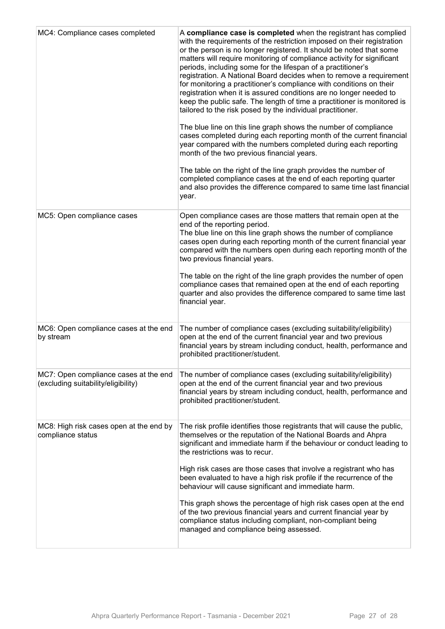| MC4: Compliance cases completed                                              | A compliance case is completed when the registrant has complied<br>with the requirements of the restriction imposed on their registration<br>or the person is no longer registered. It should be noted that some<br>matters will require monitoring of compliance activity for significant<br>periods, including some for the lifespan of a practitioner's<br>registration. A National Board decides when to remove a requirement<br>for monitoring a practitioner's compliance with conditions on their<br>registration when it is assured conditions are no longer needed to<br>keep the public safe. The length of time a practitioner is monitored is<br>tailored to the risk posed by the individual practitioner.<br>The blue line on this line graph shows the number of compliance<br>cases completed during each reporting month of the current financial<br>year compared with the numbers completed during each reporting<br>month of the two previous financial years.<br>The table on the right of the line graph provides the number of<br>completed compliance cases at the end of each reporting quarter<br>and also provides the difference compared to same time last financial<br>year. |
|------------------------------------------------------------------------------|------------------------------------------------------------------------------------------------------------------------------------------------------------------------------------------------------------------------------------------------------------------------------------------------------------------------------------------------------------------------------------------------------------------------------------------------------------------------------------------------------------------------------------------------------------------------------------------------------------------------------------------------------------------------------------------------------------------------------------------------------------------------------------------------------------------------------------------------------------------------------------------------------------------------------------------------------------------------------------------------------------------------------------------------------------------------------------------------------------------------------------------------------------------------------------------------------------|
| MC5: Open compliance cases                                                   | Open compliance cases are those matters that remain open at the<br>end of the reporting period.<br>The blue line on this line graph shows the number of compliance<br>cases open during each reporting month of the current financial year<br>compared with the numbers open during each reporting month of the<br>two previous financial years.<br>The table on the right of the line graph provides the number of open<br>compliance cases that remained open at the end of each reporting<br>quarter and also provides the difference compared to same time last<br>financial year.                                                                                                                                                                                                                                                                                                                                                                                                                                                                                                                                                                                                                     |
| MC6: Open compliance cases at the end<br>by stream                           | The number of compliance cases (excluding suitability/eligibility)<br>open at the end of the current financial year and two previous<br>financial years by stream including conduct, health, performance and<br>prohibited practitioner/student.                                                                                                                                                                                                                                                                                                                                                                                                                                                                                                                                                                                                                                                                                                                                                                                                                                                                                                                                                           |
| MC7: Open compliance cases at the end<br>(excluding suitability/eligibility) | The number of compliance cases (excluding suitability/eligibility)<br>open at the end of the current financial year and two previous<br>financial years by stream including conduct, health, performance and<br>prohibited practitioner/student.                                                                                                                                                                                                                                                                                                                                                                                                                                                                                                                                                                                                                                                                                                                                                                                                                                                                                                                                                           |
| MC8: High risk cases open at the end by<br>compliance status                 | The risk profile identifies those registrants that will cause the public,<br>themselves or the reputation of the National Boards and Ahpra<br>significant and immediate harm if the behaviour or conduct leading to<br>the restrictions was to recur.<br>High risk cases are those cases that involve a registrant who has<br>been evaluated to have a high risk profile if the recurrence of the<br>behaviour will cause significant and immediate harm.<br>This graph shows the percentage of high risk cases open at the end<br>of the two previous financial years and current financial year by<br>compliance status including compliant, non-compliant being<br>managed and compliance being assessed.                                                                                                                                                                                                                                                                                                                                                                                                                                                                                               |